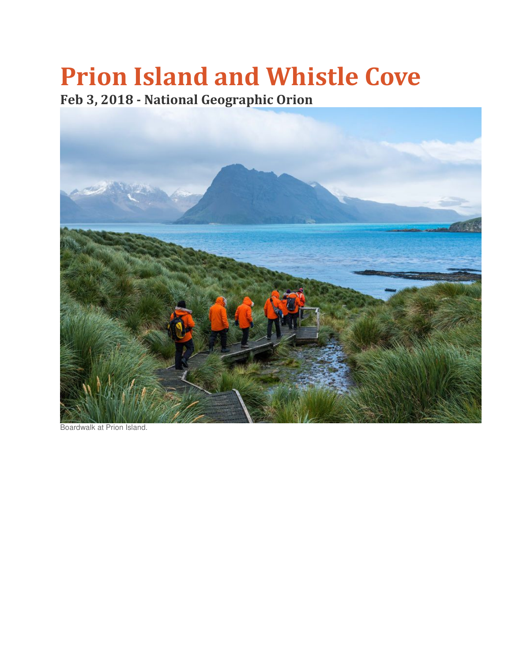## Prion Island and Whistle Cove

Feb 3, 2018 - National Geographic Orion



Boardwalk at Prion Island.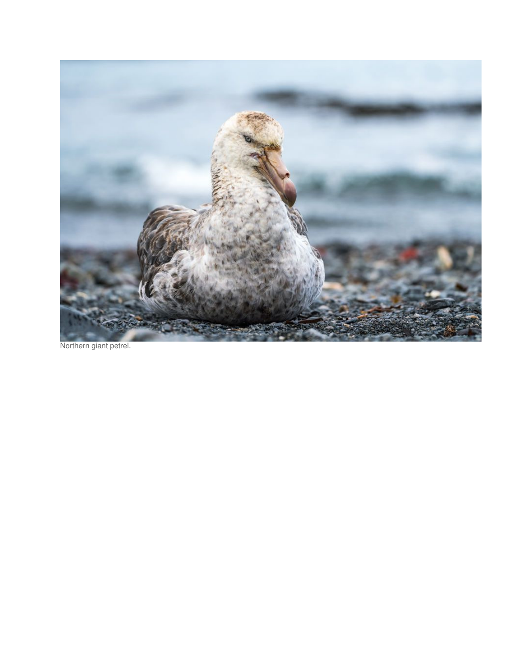

Northern giant petrel.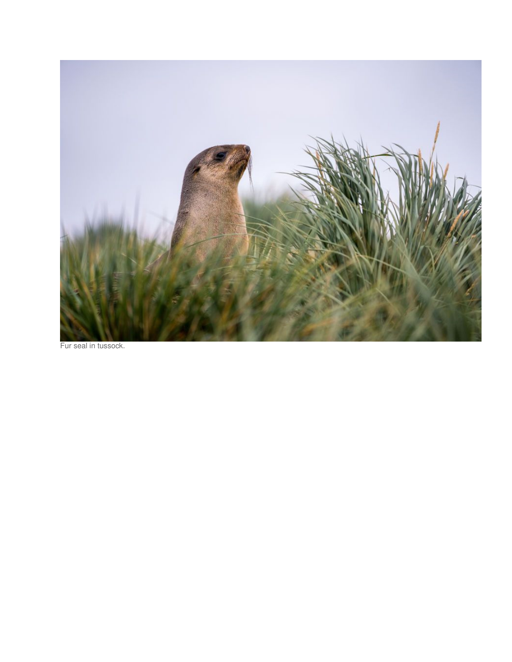

Fur seal in tussock.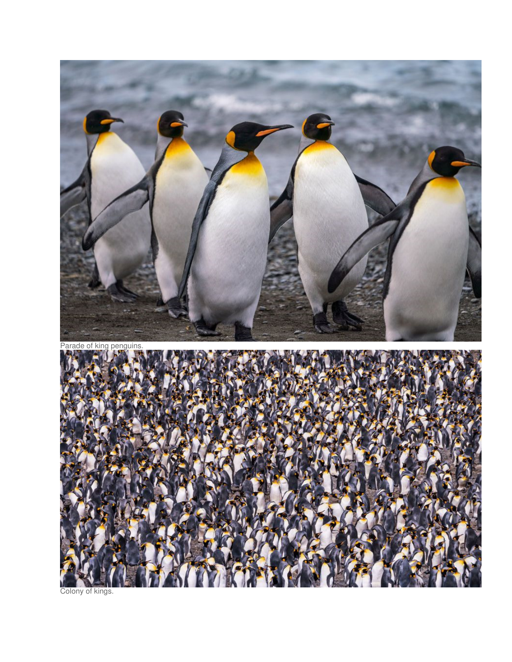

Colony of kings.